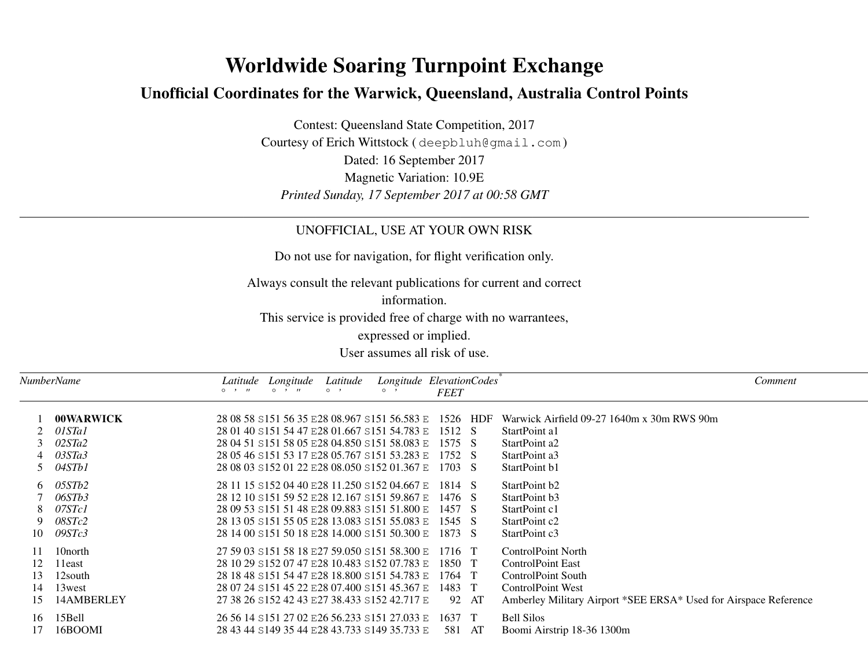# **Worldwide Soaring Turnpoint Exchange**

## **Unofficial Coordinates for the Warwick, Queensland, Australia Control Points**

Contest: Queensland State Competition, 2017 Courtesy of Erich Wittstock ( deepbluh@gmail.com ) Dated: 16 September 2017 Magnetic Variation: 10.9E*Printed Sunday, 17 September 2017 at 00:58 GMT*

### UNOFFICIAL, USE AT YOUR OWN RISK

Do not use for navigation, for flight verification only.

Always consult the relevant publications for current and correct

information.

This service is provided free of charge with no warrantees,

expressed or implied.

User assumes all risk of use.

| NumberName           |                                                              | Latitude Longitude | Latitude | $\Omega$                                                                                                                                                                                                                                                                        | Longitude ElevationCodes <sup>®</sup><br><b>FEET</b>  | Comment                                                                                                                                                              |  |
|----------------------|--------------------------------------------------------------|--------------------|----------|---------------------------------------------------------------------------------------------------------------------------------------------------------------------------------------------------------------------------------------------------------------------------------|-------------------------------------------------------|----------------------------------------------------------------------------------------------------------------------------------------------------------------------|--|
|                      | <b>00WARWICK</b><br>01STa1<br>02STa2<br>4 03STa3<br>5 04STb1 |                    |          | 28 01 40 S151 54 47 E28 01.667 S151 54.783 E 1512 S<br>28 04 51 S151 58 05 E28 04.850 S151 58.083 E 1575 S<br>28 05 46 S151 53 17 E28 05.767 S151 53.283 E 1752 S<br>28 08 03 S152 01 22 E28 08.050 S152 01.367 E 1703 S                                                        | 28 08 58 S151 56 35 E28 08.967 S151 56.583 E 1526 HDF | Warwick Airfield 09-27 1640m x 30m RWS 90m<br>StartPoint a1<br>StartPoint a2<br>StartPoint a3<br>StartPoint b1                                                       |  |
|                      | $6$ 05STb2<br>06STb3<br>8 07STc1<br>9 08STc2<br>10 09STc3    |                    |          | 28 11 15 S152 04 40 E28 11.250 S152 04.667 E 1814 S<br>28 12 10 S151 59 52 E28 12.167 S151 59.867 E 1476 S<br>28 09 53 S151 51 48 E28 09.883 S151 51.800 E 1457 S<br>28 13 05 S151 55 05 E28 13.083 S151 55.083 E 1545 S<br>28 14 00 S151 50 18 E28 14,000 S151 50,300 E 1873 S |                                                       | StartPoint b2<br>StartPoint b3<br>StartPoint c1<br>StartPoint c2<br>StartPoint c3                                                                                    |  |
| 12<br>13<br>14<br>15 | 10 north<br>l 1east<br>12south<br>13west<br>14AMBERLEY       |                    |          | 27 59 03 S151 58 18 E27 59.050 S151 58.300 E 1716 T<br>28 10 29 S152 07 47 E28 10.483 S152 07.783 E 1850 T<br>28 18 48 S151 54 47 E28 18.800 S151 54.783 E 1764 T<br>28 07 24 S151 45 22 E28 07.400 S151 45.367 E<br>27 38 26 S152 42 43 E27 38.433 S152 42.717 E               | 1483 T<br>92 AT                                       | <b>ControlPoint North</b><br><b>ControlPoint East</b><br>ControlPoint South<br>ControlPoint West<br>Amberley Military Airport *SEE ERSA* Used for Airspace Reference |  |
| 16<br>17             | 15Bell<br>16BOOMI                                            |                    |          | 26 56 14 S151 27 02 E26 56.233 S151 27.033 E 1637 T<br>28 43 44 S149 35 44 E28 43.733 S149 35.733 E                                                                                                                                                                             | 581 AT                                                | <b>Bell Silos</b><br>Boomi Airstrip 18-36 1300m                                                                                                                      |  |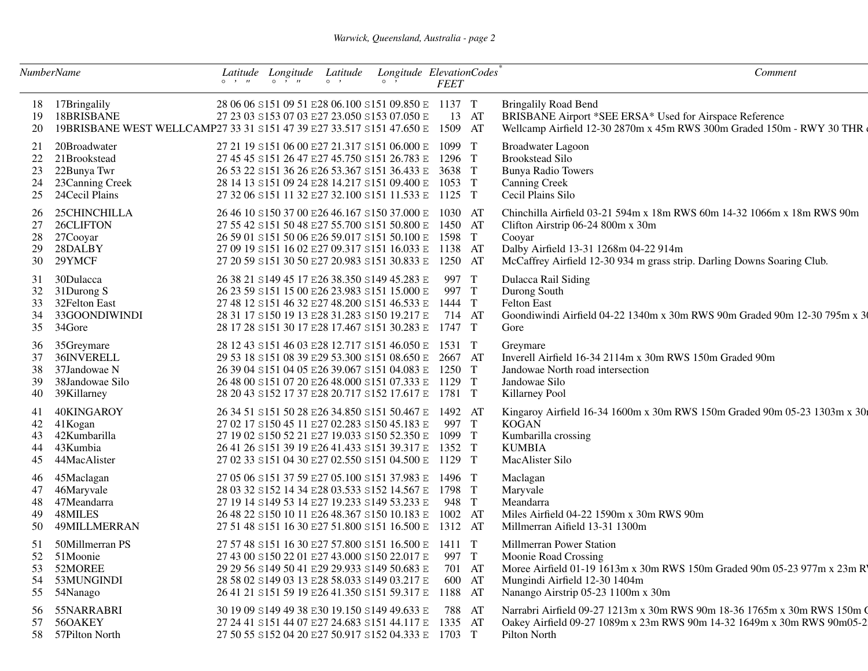#### *Warwick, Queensland, Australia - page 2*

| <b>NumberName</b>          |                                                                                                    | $\circ$ $\cdot$ $\cdot$ | Latitude Longitude Latitude<br>$\circ$ $\circ$ $\cdot$ $\cdot$ | $\circ$ $\cdot$ | $\circ$ $\cdot$                                                                                                                                                                                                                                                   | Longitude ElevationCodes<br><b>FEET</b>         | Comment                                                                                                                                                                                                                                   |
|----------------------------|----------------------------------------------------------------------------------------------------|-------------------------|----------------------------------------------------------------|-----------------|-------------------------------------------------------------------------------------------------------------------------------------------------------------------------------------------------------------------------------------------------------------------|-------------------------------------------------|-------------------------------------------------------------------------------------------------------------------------------------------------------------------------------------------------------------------------------------------|
| 18<br>19<br>20             | 17Bringalily<br>18BRISBANE<br>19BRISBANE WEST WELLCAMP27 33 31 S151 47 39 E27 33.517 S151 47.650 E |                         |                                                                |                 | 28 06 06 S151 09 51 E28 06.100 S151 09.850 E 1137 T<br>27 23 03 S153 07 03 E27 23.050 S153 07.050 E                                                                                                                                                               | 13 AT<br>1509 AT                                | <b>Bringalily Road Bend</b><br>BRISBANE Airport *SEE ERSA* Used for Airspace Reference<br>Wellcamp Airfield 12-30 2870m x 45m RWS 300m Graded 150m - RWY 30 THR                                                                           |
| 21<br>22<br>23<br>24<br>25 | 20Broadwater<br>21Brookstead<br>22Bunya Twr<br>23 Canning Creek<br>24Cecil Plains                  |                         |                                                                |                 | 27 21 19 S151 06 00 E27 21.317 S151 06.000 E<br>27 45 45 S151 26 47 E27 45.750 S151 26.783 E<br>26 53 22 S151 36 26 E26 53.367 S151 36.433 E<br>28 14 13 S151 09 24 E28 14.217 S151 09.400 E<br>27 32 06 S151 11 32 E27 32.100 S151 11.533 E 1125 T               | 1099 T<br>1296 T<br>3638 T<br>1053 T            | <b>Broadwater Lagoon</b><br><b>Brookstead Silo</b><br><b>Bunya Radio Towers</b><br><b>Canning Creek</b><br>Cecil Plains Silo                                                                                                              |
| 26<br>27<br>28<br>29<br>30 | 25CHINCHILLA<br>26CLIFTON<br>27Cooyar<br>28DALBY<br>29YMCF                                         |                         |                                                                |                 | 26 46 10 S150 37 00 E26 46.167 S150 37.000 E<br>27 55 42 S151 50 48 E27 55.700 S151 50.800 E<br>26 59 01 S151 50 06 E26 59.017 S151 50.100 E<br>27 09 19 S151 16 02 E27 09.317 S151 16.033 E 1138 AT<br>27 20 59 S151 30 50 E27 20.983 S151 30.833 E              | 1030 AT<br>1450 AT<br>1598 T<br>1250 AT         | Chinchilla Airfield 03-21 594m x 18m RWS 60m 14-32 1066m x 18m RWS 90m<br>Clifton Airstrip 06-24 800m x 30m<br>Cooyar<br>Dalby Airfield 13-31 1268m 04-22 914m<br>McCaffrey Airfield 12-30 934 m grass strip. Darling Downs Soaring Club. |
| 31<br>32<br>33<br>34<br>35 | 30Dulacca<br>31Durong S<br>32Felton East<br>33GOONDIWINDI<br>34Gore                                |                         |                                                                |                 | 26 38 21 S149 45 17 E26 38.350 S149 45.283 E<br>26 23 59 S151 15 00 E26 23.983 S151 15.000 E<br>27 48 12 S151 46 32 E27 48.200 S151 46.533 E<br>28 31 17 S150 19 13 E28 31.283 S150 19.217 E<br>28 17 28 S151 30 17 E28 17.467 S151 30.283 E                      | 997 T<br>997 T<br>1444 T<br>714 AT<br>1747 T    | Dulacca Rail Siding<br>Durong South<br><b>Felton East</b><br>Goondiwindi Airfield 04-22 1340m x 30m RWS 90m Graded 90m 12-30 795m x 30<br>Gore                                                                                            |
| 36<br>37<br>38<br>39<br>40 | 35Greymare<br>36INVERELL<br>37Jandowae N<br>38Jandowae Silo<br>39Killarney                         |                         |                                                                |                 | 28 12 43 S151 46 03 E28 12.717 S151 46.050 E<br>29 53 18 S151 08 39 E29 53.300 S151 08.650 E<br>26 39 04 S151 04 05 E26 39.067 S151 04.083 E 1250 T<br>26 48 00 S151 07 20 E26 48.000 S151 07.333 E 1129 T<br>28 20 43 S152 17 37 E28 20.717 S152 17.617 E 1781 T | 1531 T<br>2667 AT                               | Greymare<br>Inverell Airfield 16-34 2114m x 30m RWS 150m Graded 90m<br>Jandowae North road intersection<br>Jandowae Silo<br>Killarney Pool                                                                                                |
| 42<br>43<br>44<br>45       | 40KINGAROY<br>41Kogan<br>42Kumbarilla<br>43Kumbia<br>44MacAlister                                  |                         |                                                                |                 | 26 34 51 S151 50 28 E26 34.850 S151 50.467 E<br>27 02 17 S150 45 11 E27 02.283 S150 45.183 E<br>27 19 02 S150 52 21 E27 19.033 S150 52.350 E<br>26 41 26 S151 39 19 E26 41.433 S151 39.317 E<br>27 02 33 S151 04 30 E27 02.550 S151 04.500 E 1129 T               | 1492 AT<br>997 T<br>1099 T<br>1352 T            | Kingaroy Airfield 16-34 1600m x 30m RWS 150m Graded 90m 05-23 1303m x 30<br><b>KOGAN</b><br>Kumbarilla crossing<br><b>KUMBIA</b><br>MacAlister Silo                                                                                       |
| 46<br>47<br>48<br>49<br>50 | 45Maclagan<br>46Maryvale<br>47Meandarra<br>48MILES<br>49MILLMERRAN                                 |                         |                                                                |                 | 27 05 06 S151 37 59 E27 05.100 S151 37.983 E<br>28 03 32 S152 14 34 E28 03.533 S152 14.567 E<br>27 19 14 S149 53 14 E27 19.233 S149 53.233 E<br>26 48 22 S150 10 11 E26 48.367 S150 10.183 E<br>27 51 48 S151 16 30 E27 51.800 S151 16.500 E                      | 1496 T<br>1798 T<br>948 T<br>1002 AT<br>1312 AT | Maclagan<br>Maryvale<br>Meandarra<br>Miles Airfield 04-22 1590m x 30m RWS 90m<br>Millmerran Aifield 13-31 1300m                                                                                                                           |
| 51<br>52<br>53<br>54<br>55 | 50Millmerran PS<br>51Moonie<br>52MOREE<br>53MUNGINDI<br>54Nanago                                   |                         |                                                                |                 | 27 57 48 S151 16 30 E27 57.800 S151 16.500 E 1411 T<br>27 43 00 S150 22 01 E27 43.000 S150 22.017 E<br>29 29 56 S149 50 41 E29 29.933 S149 50.683 E<br>28 58 02 S149 03 13 E28 58.033 S149 03.217 E<br>26 41 21 S151 59 19 E26 41.350 S151 59.317 E               | 997 T<br>701 AT<br>600 AT<br>1188 AT            | Millmerran Power Station<br>Moonie Road Crossing<br>Moree Airfield 01-19 1613m x 30m RWS 150m Graded 90m 05-23 977m x 23m R<br>Mungindi Airfield 12-30 1404m<br>Nanango Airstrip 05-23 1100m x 30m                                        |
| 56<br>57                   | 55NARRABRI<br>56OAKEY<br>58 57Pilton North                                                         |                         |                                                                |                 | 30 19 09 S149 49 38 E30 19.150 S149 49.633 E<br>27 24 41 S151 44 07 E27 24.683 S151 44.117 E<br>27 50 55 S152 04 20 E27 50.917 S152 04.333 E 1703 T                                                                                                               | 788 AT<br>1335 AT                               | Narrabri Airfield 09-27 1213m x 30m RWS 90m 18-36 1765m x 30m RWS 150m Q<br>Oakey Airfield 09-27 1089m x 23m RWS 90m 14-32 1649m x 30m RWS 90m05-2<br>Pilton North                                                                        |